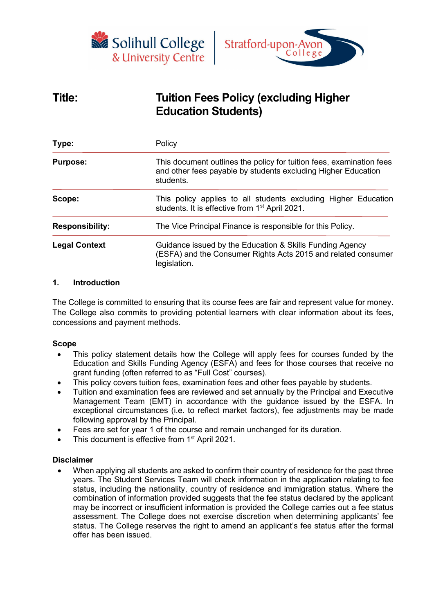



# **Title: Tuition Fees Policy (excluding Higher Education Students)**

| Type:                  | Policy<br>This document outlines the policy for tuition fees, examination fees<br>and other fees payable by students excluding Higher Education<br>students. |  |  |  |
|------------------------|--------------------------------------------------------------------------------------------------------------------------------------------------------------|--|--|--|
| <b>Purpose:</b>        |                                                                                                                                                              |  |  |  |
| Scope:                 | This policy applies to all students excluding Higher Education<br>students. It is effective from 1 <sup>st</sup> April 2021.                                 |  |  |  |
| <b>Responsibility:</b> | The Vice Principal Finance is responsible for this Policy.                                                                                                   |  |  |  |
| <b>Legal Context</b>   | Guidance issued by the Education & Skills Funding Agency<br>(ESFA) and the Consumer Rights Acts 2015 and related consumer<br>legislation.                    |  |  |  |

#### **1. Introduction**

The College is committed to ensuring that its course fees are fair and represent value for money. The College also commits to providing potential learners with clear information about its fees, concessions and payment methods.

#### **Scope**

- This policy statement details how the College will apply fees for courses funded by the Education and Skills Funding Agency (ESFA) and fees for those courses that receive no grant funding (often referred to as "Full Cost" courses).
- This policy covers tuition fees, examination fees and other fees payable by students.
- Tuition and examination fees are reviewed and set annually by the Principal and Executive Management Team (EMT) in accordance with the guidance issued by the ESFA. In exceptional circumstances (i.e. to reflect market factors), fee adjustments may be made following approval by the Principal.
- Fees are set for year 1 of the course and remain unchanged for its duration.
- This document is effective from 1<sup>st</sup> April 2021.

#### **Disclaimer**

• When applying all students are asked to confirm their country of residence for the past three years. The Student Services Team will check information in the application relating to fee status, including the nationality, country of residence and immigration status. Where the combination of information provided suggests that the fee status declared by the applicant may be incorrect or insufficient information is provided the College carries out a fee status assessment. The College does not exercise discretion when determining applicants' fee status. The College reserves the right to amend an applicant's fee status after the formal offer has been issued.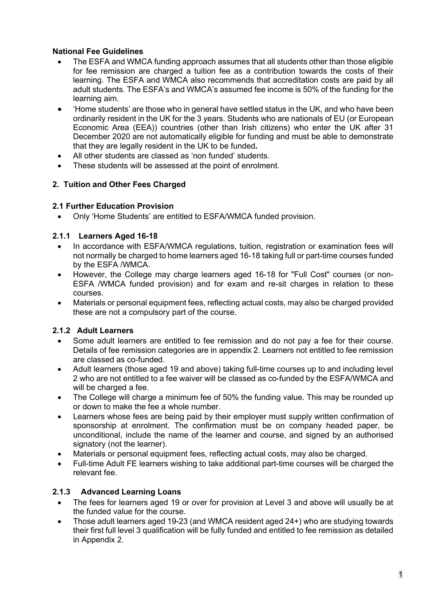# **National Fee Guidelines**

- The ESFA and WMCA funding approach assumes that all students other than those eligible for fee remission are charged a tuition fee as a contribution towards the costs of their learning. The ESFA and WMCA also recommends that accreditation costs are paid by all adult students. The ESFA's and WMCA's assumed fee income is 50% of the funding for the learning aim.
- 'Home students' are those who in general have settled status in the UK, and who have been ordinarily resident in the UK for the 3 years. Students who are nationals of EU (or European Economic Area (EEA)) countries (other than Irish citizens) who enter the UK after 31 December 2020 are not automatically eligible for funding and must be able to demonstrate that they are legally resident in the UK to be funded**.**
- All other students are classed as 'non funded' students.
- These students will be assessed at the point of enrolment.

# **2. Tuition and Other Fees Charged**

# **2.1 Further Education Provision**

• Only 'Home Students' are entitled to ESFA/WMCA funded provision.

# **2.1.1 Learners Aged 16-18**

- In accordance with ESFA/WMCA regulations, tuition, registration or examination fees will not normally be charged to home learners aged 16-18 taking full or part-time courses funded by the ESFA /WMCA.
- However, the College may charge learners aged 16-18 for "Full Cost" courses (or non-ESFA /WMCA funded provision) and for exam and re-sit charges in relation to these courses.
- Materials or personal equipment fees, reflecting actual costs, may also be charged provided these are not a compulsory part of the course.

# **2.1.2 Adult Learners**

- Some adult learners are entitled to fee remission and do not pay a fee for their course. Details of fee remission categories are in appendix 2. Learners not entitled to fee remission are classed as co-funded.
- Adult learners (those aged 19 and above) taking full-time courses up to and including level 2 who are not entitled to a fee waiver will be classed as co-funded by the ESFA/WMCA and will be charged a fee.
- The College will charge a minimum fee of 50% the funding value. This may be rounded up or down to make the fee a whole number.
- Learners whose fees are being paid by their employer must supply written confirmation of sponsorship at enrolment. The confirmation must be on company headed paper, be unconditional, include the name of the learner and course, and signed by an authorised signatory (not the learner).
- Materials or personal equipment fees, reflecting actual costs, may also be charged.
- Full-time Adult FE learners wishing to take additional part-time courses will be charged the relevant fee.

# **2.1.3 Advanced Learning Loans**

- The fees for learners aged 19 or over for provision at Level 3 and above will usually be at the funded value for the course.
- Those adult learners aged 19-23 (and WMCA resident aged 24+) who are studying towards their first full level 3 qualification will be fully funded and entitled to fee remission as detailed in Appendix 2.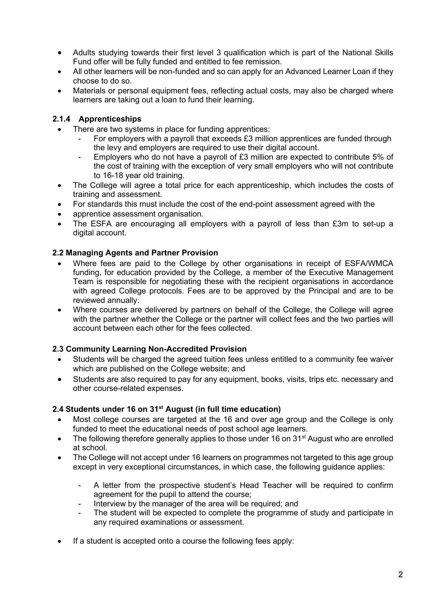- Adults studying towards their first level 3 qualification which is part of the National Skills Fund offer will be fully funded and entitled to fee remission.
- All other learners will be non-funded and so can apply for an Advanced Learner Loan if they choose to do so.
- Materials or personal equipment fees, reflecting actual costs, may also be charged where learners are taking out a loan to fund their learning.

# **2.1.4 Apprenticeships**

- There are two systems in place for funding apprentices:
	- For employers with a payroll that exceeds £3 million apprentices are funded through the levy and employers are required to use their digital account.
	- Employers who do not have a payroll of £3 million are expected to contribute 5% of the cost of training with the exception of very small employers who will not contribute to 16-18 year old training.
- The College will agree a total price for each apprenticeship, which includes the costs of training and assessment.
- For standards this must include the cost of the end-point assessment agreed with the
- apprentice assessment organisation.
- The ESFA are encouraging all employers with a payroll of less than £3m to set-up a digital account.

## **2.2 Managing Agents and Partner Provision**

- Where fees are paid to the College by other organisations in receipt of ESFA/WMCA funding, for education provided by the College, a member of the Executive Management Team is responsible for negotiating these with the recipient organisations in accordance with agreed College protocols. Fees are to be approved by the Principal and are to be reviewed annually.
- Where courses are delivered by partners on behalf of the College, the College will agree with the partner whether the College or the partner will collect fees and the two parties will account between each other for the fees collected.

#### **2.3 Community Learning Non-Accredited Provision**

- Students will be charged the agreed tuition fees unless entitled to a community fee waiver which are published on the College website; and
- Students are also required to pay for any equipment, books, visits, trips etc. necessary and other course-related expenses.

#### **2.4 Students under 16 on 31st August (in full time education)**

- Most college courses are targeted at the 16 and over age group and the College is only funded to meet the educational needs of post school age learners.
- The following therefore generally applies to those under 16 on 31<sup>st</sup> August who are enrolled at school.
- The College will not accept under 16 learners on programmes not targeted to this age group except in very exceptional circumstances, in which case, the following guidance applies:
	- A letter from the prospective student's Head Teacher will be required to confirm agreement for the pupil to attend the course;
	- Interview by the manager of the area will be required; and
	- The student will be expected to complete the programme of study and participate in any required examinations or assessment.
- If a student is accepted onto a course the following fees apply: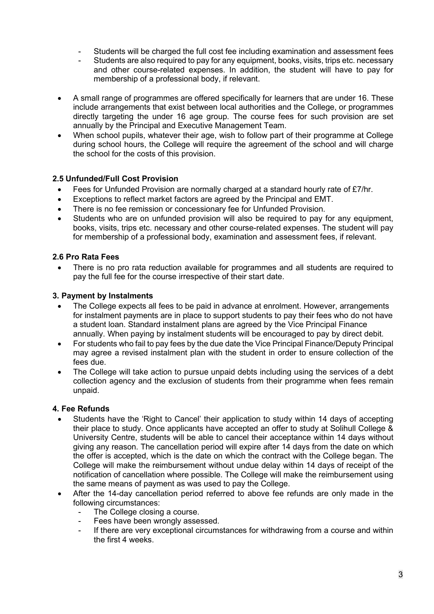- Students will be charged the full cost fee including examination and assessment fees
- Students are also required to pay for any equipment, books, visits, trips etc. necessary and other course-related expenses. In addition, the student will have to pay for membership of a professional body, if relevant.
- A small range of programmes are offered specifically for learners that are under 16. These include arrangements that exist between local authorities and the College, or programmes directly targeting the under 16 age group. The course fees for such provision are set annually by the Principal and Executive Management Team.
- When school pupils, whatever their age, wish to follow part of their programme at College during school hours, the College will require the agreement of the school and will charge the school for the costs of this provision.

## **2.5 Unfunded/Full Cost Provision**

- Fees for Unfunded Provision are normally charged at a standard hourly rate of £7/hr.
- Exceptions to reflect market factors are agreed by the Principal and EMT.
- There is no fee remission or concessionary fee for Unfunded Provision.
- Students who are on unfunded provision will also be required to pay for any equipment, books, visits, trips etc. necessary and other course-related expenses. The student will pay for membership of a professional body, examination and assessment fees, if relevant.

#### **2.6 Pro Rata Fees**

• There is no pro rata reduction available for programmes and all students are required to pay the full fee for the course irrespective of their start date.

#### **3. Payment by Instalments**

- The College expects all fees to be paid in advance at enrolment. However, arrangements for instalment payments are in place to support students to pay their fees who do not have a student loan. Standard instalment plans are agreed by the Vice Principal Finance annually. When paying by instalment students will be encouraged to pay by direct debit.
- For students who fail to pay fees by the due date the Vice Principal Finance/Deputy Principal may agree a revised instalment plan with the student in order to ensure collection of the fees due.
- The College will take action to pursue unpaid debts including using the services of a debt collection agency and the exclusion of students from their programme when fees remain unpaid.

#### **4. Fee Refunds**

- Students have the 'Right to Cancel' their application to study within 14 days of accepting their place to study. Once applicants have accepted an offer to study at Solihull College & University Centre, students will be able to cancel their acceptance within 14 days without giving any reason. The cancellation period will expire after 14 days from the date on which the offer is accepted, which is the date on which the contract with the College began. The College will make the reimbursement without undue delay within 14 days of receipt of the notification of cancellation where possible. The College will make the reimbursement using the same means of payment as was used to pay the College.
- After the 14-day cancellation period referred to above fee refunds are only made in the following circumstances:
	- The College closing a course.
	- Fees have been wrongly assessed.
	- If there are very exceptional circumstances for withdrawing from a course and within the first 4 weeks.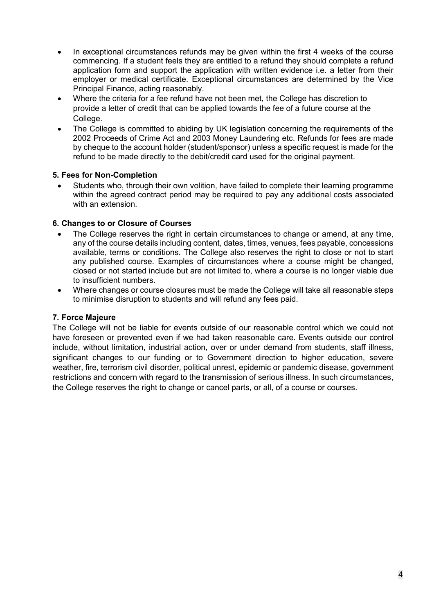- In exceptional circumstances refunds may be given within the first 4 weeks of the course commencing. If a student feels they are entitled to a refund they should complete a refund application form and support the application with written evidence i.e. a letter from their employer or medical certificate. Exceptional circumstances are determined by the Vice Principal Finance, acting reasonably.
- Where the criteria for a fee refund have not been met, the College has discretion to provide a letter of credit that can be applied towards the fee of a future course at the College.
- The College is committed to abiding by UK legislation concerning the requirements of the 2002 Proceeds of Crime Act and 2003 Money Laundering etc. Refunds for fees are made by cheque to the account holder (student/sponsor) unless a specific request is made for the refund to be made directly to the debit/credit card used for the original payment.

## **5. Fees for Non-Completion**

• Students who, through their own volition, have failed to complete their learning programme within the agreed contract period may be required to pay any additional costs associated with an extension.

## **6. Changes to or Closure of Courses**

- The College reserves the right in certain circumstances to change or amend, at any time, any of the course details including content, dates, times, venues, fees payable, concessions available, terms or conditions. The College also reserves the right to close or not to start any published course. Examples of circumstances where a course might be changed, closed or not started include but are not limited to, where a course is no longer viable due to insufficient numbers.
- Where changes or course closures must be made the College will take all reasonable steps to minimise disruption to students and will refund any fees paid.

#### **7. Force Majeure**

The College will not be liable for events outside of our reasonable control which we could not have foreseen or prevented even if we had taken reasonable care. Events outside our control include, without limitation, industrial action, over or under demand from students, staff illness, significant changes to our funding or to Government direction to higher education, severe weather, fire, terrorism civil disorder, political unrest, epidemic or pandemic disease, government restrictions and concern with regard to the transmission of serious illness. In such circumstances, the College reserves the right to change or cancel parts, or all, of a course or courses.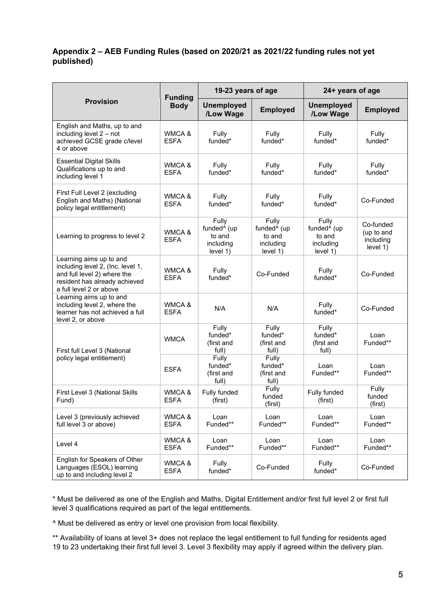# **Appendix 2 – AEB Funding Rules (based on 2020/21 as 2021/22 funding rules not yet published)**

|                                                                                                                                                         | <b>Funding</b><br><b>Body</b> | 19-23 years of age                                                  |                                                                     | 24+ years of age                                                    |                                                  |
|---------------------------------------------------------------------------------------------------------------------------------------------------------|-------------------------------|---------------------------------------------------------------------|---------------------------------------------------------------------|---------------------------------------------------------------------|--------------------------------------------------|
| <b>Provision</b>                                                                                                                                        |                               | <b>Unemployed</b><br>/Low Wage                                      | <b>Employed</b>                                                     | <b>Unemployed</b><br>/Low Wage                                      | <b>Employed</b>                                  |
| English and Maths, up to and<br>including level 2 - not<br>achieved GCSE grade c/level<br>4 or above                                                    | WMCA &<br><b>ESFA</b>         | Fully<br>funded*                                                    | Fully<br>funded*                                                    | Fully<br>funded*                                                    | Fully<br>funded*                                 |
| <b>Essential Digital Skills</b><br>Qualifications up to and<br>including level 1                                                                        | WMCA&<br><b>ESFA</b>          | Fully<br>funded*                                                    | Fully<br>funded*                                                    | Fully<br>funded*                                                    | Fully<br>funded*                                 |
| First Full Level 2 (excluding<br>English and Maths) (National<br>policy legal entitlement)                                                              | WMCA&<br><b>ESFA</b>          | Fully<br>funded*                                                    | Fully<br>funded*                                                    | Fully<br>funded*                                                    | Co-Funded                                        |
| Learning to progress to level 2                                                                                                                         | WMCA &<br><b>ESFA</b>         | Fully<br>funded <sup>^</sup> (up<br>to and<br>including<br>level 1) | Fully<br>funded <sup>^</sup> (up<br>to and<br>including<br>level 1) | Fully<br>funded <sup>^</sup> (up<br>to and<br>including<br>level 1) | Co-funded<br>(up to and<br>including<br>level 1) |
| Learning aims up to and<br>including level 2, (Inc. level 1,<br>and full level 2) where the<br>resident has already achieved<br>a full level 2 or above | WMCA&<br><b>FSFA</b>          | Fully<br>funded*                                                    | Co-Funded                                                           | Fully<br>funded*                                                    | Co-Funded                                        |
| Learning aims up to and<br>including level 2, where the<br>learner has not achieved a full<br>level 2, or above                                         | WMCA&<br><b>ESFA</b>          | N/A                                                                 | N/A                                                                 | Fully<br>funded*                                                    | Co-Funded                                        |
| First full Level 3 (National                                                                                                                            | <b>WMCA</b>                   | Fully<br>funded*<br>(first and<br>full)                             | Fully<br>funded*<br>(first and<br>full)                             | Fully<br>funded*<br>(first and<br>full)                             | Loan<br>Funded**                                 |
| policy legal entitlement)                                                                                                                               | <b>ESFA</b>                   | Fully<br>funded*<br>(first and<br>full)                             | Fully<br>funded*<br>(first and<br>full)                             | Loan<br>Funded**                                                    | Loan<br>Funded**                                 |
| First Level 3 (National Skills<br>Fund)                                                                                                                 | WMCA&<br><b>ESFA</b>          | Fully funded<br>(first)                                             | Fully<br>funded<br>(first)                                          | Fully funded<br>(first)                                             | Fully<br>funded<br>(first)                       |
| Level 3 (previously achieved<br>full level 3 or above)                                                                                                  | WMCA&<br><b>ESFA</b>          | Loan<br>Funded**                                                    | Loan<br>Funded**                                                    | Loan<br>Funded**                                                    | Loan<br>Funded**                                 |
| Level 4                                                                                                                                                 | WMCA&<br><b>ESFA</b>          | Loan<br>Funded**                                                    | Loan<br>Funded**                                                    | Loan<br>Funded**                                                    | Loan<br>Funded**                                 |
| English for Speakers of Other<br>Languages (ESOL) learning<br>up to and including level 2                                                               | WMCA &<br><b>ESFA</b>         | Fully<br>funded*                                                    | Co-Funded                                                           | Fully<br>funded*                                                    | Co-Funded                                        |

\* Must be delivered as one of the English and Maths, Digital Entitlement and/or first full level 2 or first full level 3 qualifications required as part of the legal entitlements.

^ Must be delivered as entry or level one provision from local flexibility.

\*\* Availability of loans at level 3+ does not replace the legal entitlement to full funding for residents aged 19 to 23 undertaking their first full level 3. Level 3 flexibility may apply if agreed within the delivery plan.